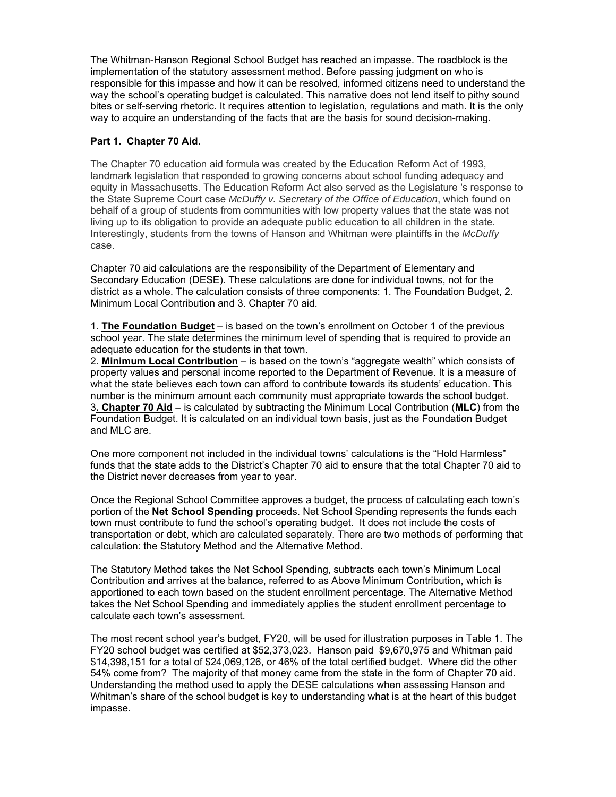The Whitman-Hanson Regional School Budget has reached an impasse. The roadblock is the implementation of the statutory assessment method. Before passing judgment on who is responsible for this impasse and how it can be resolved, informed citizens need to understand the way the school's operating budget is calculated. This narrative does not lend itself to pithy sound bites or self-serving rhetoric. It requires attention to legislation, regulations and math. It is the only way to acquire an understanding of the facts that are the basis for sound decision-making.

## **Part 1. Chapter 70 Aid**.

The Chapter 70 education aid formula was created by the Education Reform Act of 1993, landmark legislation that responded to growing concerns about school funding adequacy and equity in Massachusetts. The Education Reform Act also served as the Legislature 's response to the State Supreme Court case *McDuffy v. Secretary of the Office of Education*, which found on behalf of a group of students from communities with low property values that the state was not living up to its obligation to provide an adequate public education to all children in the state. Interestingly, students from the towns of Hanson and Whitman were plaintiffs in the *McDuffy* case.

Chapter 70 aid calculations are the responsibility of the Department of Elementary and Secondary Education (DESE). These calculations are done for individual towns, not for the district as a whole. The calculation consists of three components: 1. The Foundation Budget, 2. Minimum Local Contribution and 3. Chapter 70 aid.

1. **The Foundation Budget** – is based on the town's enrollment on October 1 of the previous school year. The state determines the minimum level of spending that is required to provide an adequate education for the students in that town.

2. **Minimum Local Contribution** – is based on the town's "aggregate wealth" which consists of property values and personal income reported to the Department of Revenue. It is a measure of what the state believes each town can afford to contribute towards its students' education. This number is the minimum amount each community must appropriate towards the school budget. 3**. Chapter 70 Aid** – is calculated by subtracting the Minimum Local Contribution (**MLC**) from the Foundation Budget. It is calculated on an individual town basis, just as the Foundation Budget and MLC are.

One more component not included in the individual towns' calculations is the "Hold Harmless" funds that the state adds to the District's Chapter 70 aid to ensure that the total Chapter 70 aid to the District never decreases from year to year.

Once the Regional School Committee approves a budget, the process of calculating each town's portion of the **Net School Spending** proceeds. Net School Spending represents the funds each town must contribute to fund the school's operating budget. It does not include the costs of transportation or debt, which are calculated separately. There are two methods of performing that calculation: the Statutory Method and the Alternative Method.

The Statutory Method takes the Net School Spending, subtracts each town's Minimum Local Contribution and arrives at the balance, referred to as Above Minimum Contribution, which is apportioned to each town based on the student enrollment percentage. The Alternative Method takes the Net School Spending and immediately applies the student enrollment percentage to calculate each town's assessment.

The most recent school year's budget, FY20, will be used for illustration purposes in Table 1. The FY20 school budget was certified at \$52,373,023. Hanson paid \$9,670,975 and Whitman paid \$14,398,151 for a total of \$24,069,126, or 46% of the total certified budget. Where did the other 54% come from? The majority of that money came from the state in the form of Chapter 70 aid. Understanding the method used to apply the DESE calculations when assessing Hanson and Whitman's share of the school budget is key to understanding what is at the heart of this budget impasse.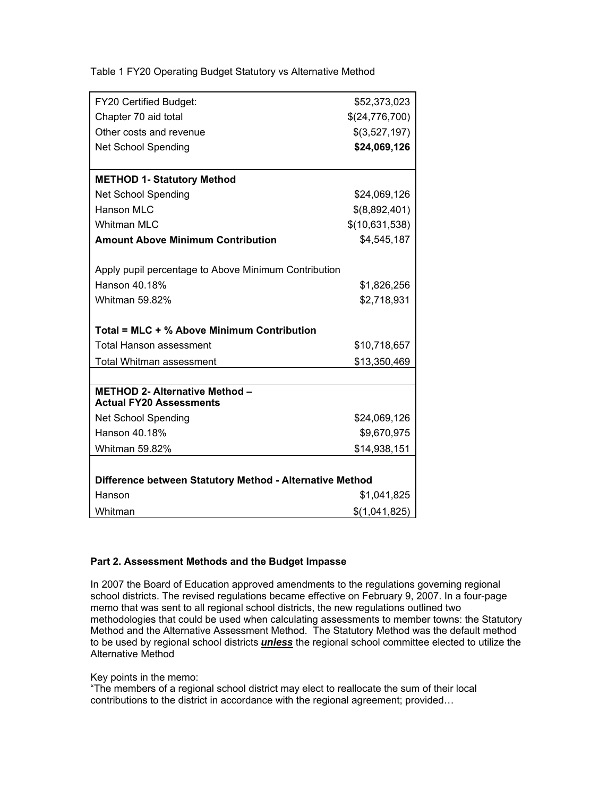|  |  |  |  |  | Table 1 FY20 Operating Budget Statutory vs Alternative Method |
|--|--|--|--|--|---------------------------------------------------------------|
|--|--|--|--|--|---------------------------------------------------------------|

| FY20 Certified Budget:                                                  | \$52,373,023   |  |  |  |  |
|-------------------------------------------------------------------------|----------------|--|--|--|--|
| Chapter 70 aid total                                                    | \$(24,776,700) |  |  |  |  |
| Other costs and revenue                                                 | \$(3,527,197)  |  |  |  |  |
| <b>Net School Spending</b>                                              | \$24,069,126   |  |  |  |  |
|                                                                         |                |  |  |  |  |
| <b>METHOD 1- Statutory Method</b>                                       |                |  |  |  |  |
| <b>Net School Spending</b>                                              | \$24,069,126   |  |  |  |  |
| <b>Hanson MLC</b>                                                       | \$(8,892,401)  |  |  |  |  |
| <b>Whitman MLC</b>                                                      | \$(10,631,538) |  |  |  |  |
| <b>Amount Above Minimum Contribution</b>                                | \$4,545,187    |  |  |  |  |
|                                                                         |                |  |  |  |  |
| Apply pupil percentage to Above Minimum Contribution                    |                |  |  |  |  |
| Hanson 40.18%                                                           | \$1,826,256    |  |  |  |  |
| <b>Whitman 59.82%</b>                                                   | \$2,718,931    |  |  |  |  |
|                                                                         |                |  |  |  |  |
| Total = MLC + % Above Minimum Contribution                              |                |  |  |  |  |
| <b>Total Hanson assessment</b>                                          | \$10,718,657   |  |  |  |  |
| <b>Total Whitman assessment</b>                                         | \$13,350,469   |  |  |  |  |
|                                                                         |                |  |  |  |  |
| <b>METHOD 2- Alternative Method -</b><br><b>Actual FY20 Assessments</b> |                |  |  |  |  |
| <b>Net School Spending</b>                                              | \$24,069,126   |  |  |  |  |
| Hanson 40.18%                                                           | \$9,670,975    |  |  |  |  |
| Whitman 59.82%                                                          | \$14,938,151   |  |  |  |  |
|                                                                         |                |  |  |  |  |
| Difference between Statutory Method - Alternative Method                |                |  |  |  |  |
| Hanson                                                                  | \$1,041,825    |  |  |  |  |
| Whitman                                                                 | \$(1,041,825)  |  |  |  |  |

## **Part 2. Assessment Methods and the Budget Impasse**

In 2007 the Board of Education approved amendments to the regulations governing regional school districts. The revised regulations became effective on February 9, 2007. In a four-page memo that was sent to all regional school districts, the new regulations outlined two methodologies that could be used when calculating assessments to member towns: the Statutory Method and the Alternative Assessment Method. The Statutory Method was the default method to be used by regional school districts *unless* the regional school committee elected to utilize the Alternative Method

Key points in the memo:

"The members of a regional school district may elect to reallocate the sum of their local contributions to the district in accordance with the regional agreement; provided…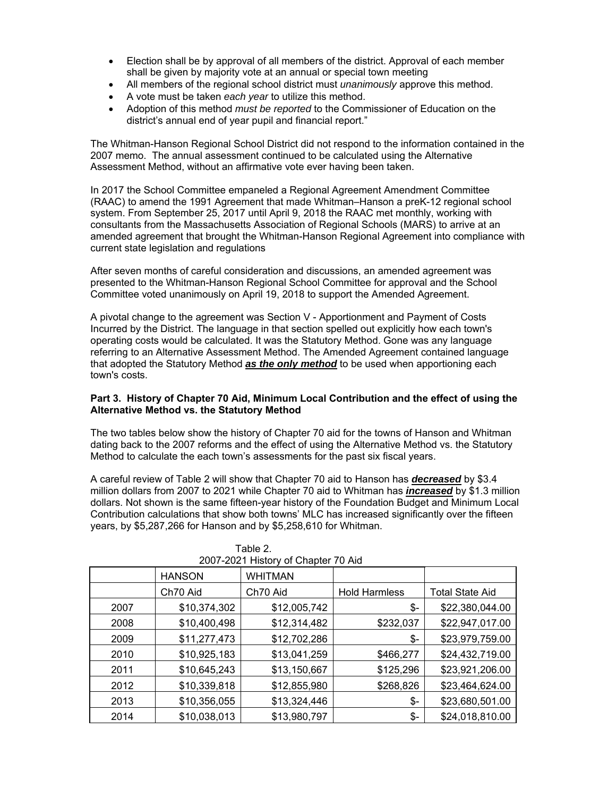- Election shall be by approval of all members of the district. Approval of each member shall be given by majority vote at an annual or special town meeting
- All members of the regional school district must *unanimously* approve this method.
- A vote must be taken *each year* to utilize this method.
- Adoption of this method *must be reported* to the Commissioner of Education on the district's annual end of year pupil and financial report."

The Whitman-Hanson Regional School District did not respond to the information contained in the 2007 memo. The annual assessment continued to be calculated using the Alternative Assessment Method, without an affirmative vote ever having been taken.

In 2017 the School Committee empaneled a Regional Agreement Amendment Committee (RAAC) to amend the 1991 Agreement that made Whitman–Hanson a preK-12 regional school system. From September 25, 2017 until April 9, 2018 the RAAC met monthly, working with consultants from the Massachusetts Association of Regional Schools (MARS) to arrive at an amended agreement that brought the Whitman-Hanson Regional Agreement into compliance with current state legislation and regulations

After seven months of careful consideration and discussions, an amended agreement was presented to the Whitman-Hanson Regional School Committee for approval and the School Committee voted unanimously on April 19, 2018 to support the Amended Agreement.

A pivotal change to the agreement was Section V - Apportionment and Payment of Costs Incurred by the District. The language in that section spelled out explicitly how each town's operating costs would be calculated. It was the Statutory Method. Gone was any language referring to an Alternative Assessment Method. The Amended Agreement contained language that adopted the Statutory Method *as the only method* to be used when apportioning each town's costs.

## **Part 3. History of Chapter 70 Aid, Minimum Local Contribution and the effect of using the Alternative Method vs. the Statutory Method**

The two tables below show the history of Chapter 70 aid for the towns of Hanson and Whitman dating back to the 2007 reforms and the effect of using the Alternative Method vs. the Statutory Method to calculate the each town's assessments for the past six fiscal years.

A careful review of Table 2 will show that Chapter 70 aid to Hanson has *decreased* by \$3.4 million dollars from 2007 to 2021 while Chapter 70 aid to Whitman has *increased* by \$1.3 million dollars. Not shown is the same fifteen-year history of the Foundation Budget and Minimum Local Contribution calculations that show both towns' MLC has increased significantly over the fifteen years, by \$5,287,266 for Hanson and by \$5,258,610 for Whitman.

| 2007-2021 History of Chapter 70 Aid |               |                |                      |                        |  |  |
|-------------------------------------|---------------|----------------|----------------------|------------------------|--|--|
|                                     | <b>HANSON</b> | <b>WHITMAN</b> |                      |                        |  |  |
| Ch70 Aid                            |               | Ch70 Aid       | <b>Hold Harmless</b> | <b>Total State Aid</b> |  |  |
| 2007                                | \$10,374,302  | \$12,005,742   | \$-                  | \$22,380,044.00        |  |  |
| 2008                                | \$10,400,498  | \$12,314,482   | \$232,037            | \$22,947,017.00        |  |  |
| 2009                                | \$11,277,473  | \$12,702,286   | \$-                  | \$23,979,759.00        |  |  |
| 2010                                | \$10,925,183  | \$13,041,259   | \$466,277            | \$24,432,719.00        |  |  |
| 2011                                | \$10,645,243  | \$13,150,667   | \$125,296            | \$23,921,206.00        |  |  |
| 2012                                | \$10,339,818  | \$12,855,980   | \$268,826            | \$23,464,624.00        |  |  |
| 2013                                | \$10,356,055  | \$13,324,446   | \$-                  | \$23,680,501.00        |  |  |
| 2014                                | \$10,038,013  | \$13,980,797   | \$-                  | \$24,018,810.00        |  |  |

| Table 2.                            |
|-------------------------------------|
| 2007-2021 History of Chanter 70 Aid |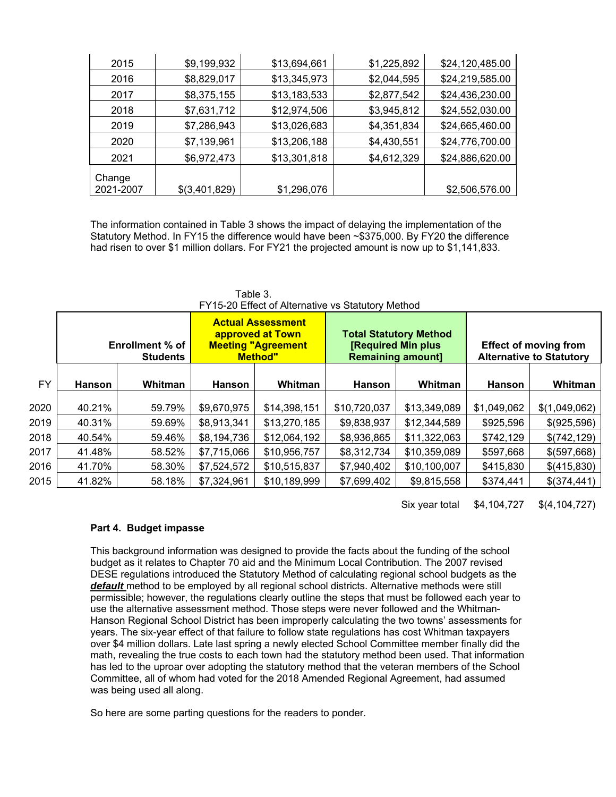| 2015      | \$9,199,932   | \$13,694,661 | \$1,225,892 | \$24,120,485.00 |
|-----------|---------------|--------------|-------------|-----------------|
| 2016      | \$8,829,017   | \$13,345,973 | \$2,044,595 | \$24,219,585.00 |
| 2017      | \$8,375,155   | \$13,183,533 | \$2,877,542 | \$24,436,230.00 |
| 2018      | \$7,631,712   | \$12,974,506 | \$3,945,812 | \$24,552,030.00 |
| 2019      | \$7,286,943   | \$13,026,683 | \$4,351,834 | \$24,665,460.00 |
| 2020      | \$7,139,961   | \$13,206,188 | \$4,430,551 | \$24,776,700.00 |
| 2021      | \$6,972,473   | \$13,301,818 | \$4,612,329 | \$24,886,620.00 |
| Change    |               |              |             |                 |
| 2021-2007 | \$(3,401,829) | \$1,296,076  |             | \$2,506,576.00  |

The information contained in Table 3 shows the impact of delaying the implementation of the Statutory Method. In FY15 the difference would have been ~\$375,000. By FY20 the difference had risen to over \$1 million dollars. For FY21 the projected amount is now up to \$1,141,833.

|           | FY15-ZU Effect of Alternative vs Statutory Method |         |               |                                                                                             |                                                       |                               |             |                                                                 |  |
|-----------|---------------------------------------------------|---------|---------------|---------------------------------------------------------------------------------------------|-------------------------------------------------------|-------------------------------|-------------|-----------------------------------------------------------------|--|
|           | Enrollment % of<br><b>Students</b>                |         |               | <b>Actual Assessment</b><br>approved at Town<br><b>Meeting "Agreement</b><br><b>Method"</b> | <b>[Required Min plus</b><br><b>Remaining amount]</b> | <b>Total Statutory Method</b> |             | <b>Effect of moving from</b><br><b>Alternative to Statutory</b> |  |
| <b>FY</b> | <b>Hanson</b>                                     | Whitman | <b>Hanson</b> | Whitman                                                                                     | <b>Hanson</b>                                         | Whitman                       | Hanson      | Whitman                                                         |  |
| 2020      | 40.21%                                            | 59.79%  | \$9,670,975   | \$14,398,151                                                                                | \$10,720,037                                          | \$13,349,089                  | \$1,049,062 | \$(1,049,062)                                                   |  |
| 2019      | 40.31%                                            | 59.69%  | \$8,913,341   | \$13,270,185                                                                                | \$9,838,937                                           | \$12,344,589                  | \$925,596   | \$(925,596)                                                     |  |
| 2018      | 40.54%                                            | 59.46%  | \$8,194,736   | \$12,064,192                                                                                | \$8,936,865                                           | \$11,322,063                  | \$742,129   | \$(742, 129)                                                    |  |
| 2017      | 41.48%                                            | 58.52%  | \$7,715,066   | \$10,956,757                                                                                | \$8,312,734                                           | \$10,359,089                  | \$597,668   | \$(597,668)                                                     |  |
| 2016      | 41.70%                                            | 58.30%  | \$7,524,572   | \$10,515,837                                                                                | \$7,940,402                                           | \$10,100,007                  | \$415,830   | \$(415,830)                                                     |  |
| 2015      | 41.82%                                            | 58.18%  | \$7,324,961   | \$10,189,999                                                                                | \$7,699,402                                           | \$9,815,558                   | \$374,441   | \$(374, 441)                                                    |  |

 $Table 3.$ r.<br>Ef Alternative ve Statutory Method

Six year total \$4,104,727 \$(4,104,727)

## **Part 4. Budget impasse**

This background information was designed to provide the facts about the funding of the school budget as it relates to Chapter 70 aid and the Minimum Local Contribution. The 2007 revised DESE regulations introduced the Statutory Method of calculating regional school budgets as the *default* method to be employed by all regional school districts. Alternative methods were still permissible; however, the regulations clearly outline the steps that must be followed each year to use the alternative assessment method. Those steps were never followed and the Whitman-Hanson Regional School District has been improperly calculating the two towns' assessments for years. The six-year effect of that failure to follow state regulations has cost Whitman taxpayers over \$4 million dollars. Late last spring a newly elected School Committee member finally did the math, revealing the true costs to each town had the statutory method been used. That information has led to the uproar over adopting the statutory method that the veteran members of the School Committee, all of whom had voted for the 2018 Amended Regional Agreement, had assumed was being used all along.

So here are some parting questions for the readers to ponder.